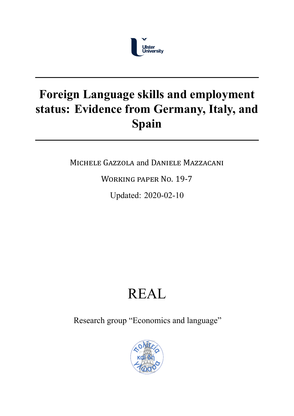

## **Foreign Language skills and employment status: Evidence from Germany, Italy, and Spain**

MICHELE GAZZOLA and DANIELE MAZZACANI

WORKING PAPER NO. 19‐7

Updated: 2020-02-10

## REAL

Research group "Economics and language"